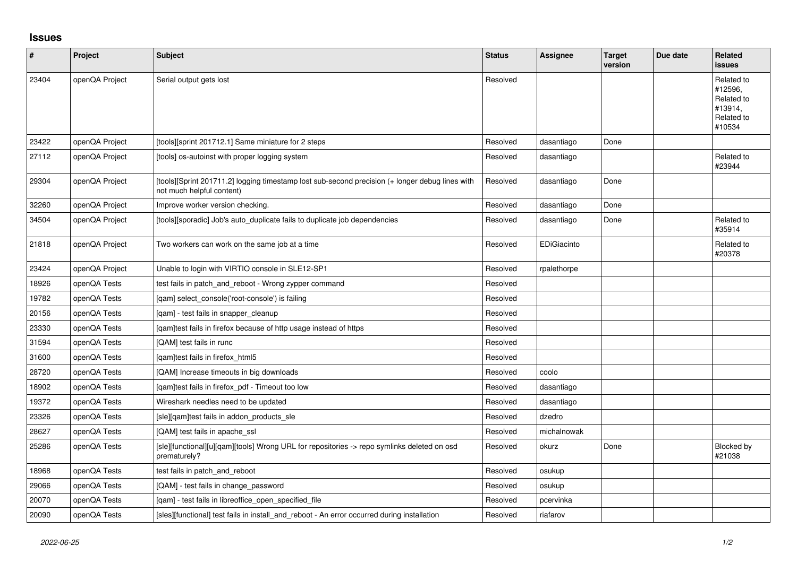## **Issues**

| $\pmb{\#}$ | Project        | <b>Subject</b>                                                                                                               | <b>Status</b> | Assignee    | <b>Target</b><br>version | Due date | Related<br><b>issues</b>                                               |
|------------|----------------|------------------------------------------------------------------------------------------------------------------------------|---------------|-------------|--------------------------|----------|------------------------------------------------------------------------|
| 23404      | openQA Project | Serial output gets lost                                                                                                      | Resolved      |             |                          |          | Related to<br>#12596.<br>Related to<br>#13914.<br>Related to<br>#10534 |
| 23422      | openQA Project | [tools][sprint 201712.1] Same miniature for 2 steps                                                                          | Resolved      | dasantiago  | Done                     |          |                                                                        |
| 27112      | openQA Project | [tools] os-autoinst with proper logging system                                                                               | Resolved      | dasantiago  |                          |          | Related to<br>#23944                                                   |
| 29304      | openQA Project | [tools][Sprint 201711.2] logging timestamp lost sub-second precision (+ longer debug lines with<br>not much helpful content) | Resolved      | dasantiago  | Done                     |          |                                                                        |
| 32260      | openQA Project | Improve worker version checking.                                                                                             | Resolved      | dasantiago  | Done                     |          |                                                                        |
| 34504      | openQA Project | [tools][sporadic] Job's auto duplicate fails to duplicate job dependencies                                                   | Resolved      | dasantiago  | Done                     |          | Related to<br>#35914                                                   |
| 21818      | openQA Project | Two workers can work on the same job at a time                                                                               | Resolved      | EDiGiacinto |                          |          | Related to<br>#20378                                                   |
| 23424      | openQA Project | Unable to login with VIRTIO console in SLE12-SP1                                                                             | Resolved      | rpalethorpe |                          |          |                                                                        |
| 18926      | openQA Tests   | test fails in patch and reboot - Wrong zypper command                                                                        | Resolved      |             |                          |          |                                                                        |
| 19782      | openQA Tests   | [qam] select_console('root-console') is failing                                                                              | Resolved      |             |                          |          |                                                                        |
| 20156      | openQA Tests   | [qam] - test fails in snapper_cleanup                                                                                        | Resolved      |             |                          |          |                                                                        |
| 23330      | openQA Tests   | [gam]test fails in firefox because of http usage instead of https                                                            | Resolved      |             |                          |          |                                                                        |
| 31594      | openQA Tests   | [QAM] test fails in runc                                                                                                     | Resolved      |             |                          |          |                                                                        |
| 31600      | openQA Tests   | [qam]test fails in firefox_html5                                                                                             | Resolved      |             |                          |          |                                                                        |
| 28720      | openQA Tests   | [QAM] Increase timeouts in big downloads                                                                                     | Resolved      | coolo       |                          |          |                                                                        |
| 18902      | openQA Tests   | [qam]test fails in firefox_pdf - Timeout too low                                                                             | Resolved      | dasantiago  |                          |          |                                                                        |
| 19372      | openQA Tests   | Wireshark needles need to be updated                                                                                         | Resolved      | dasantiago  |                          |          |                                                                        |
| 23326      | openQA Tests   | [sle][qam]test fails in addon_products_sle                                                                                   | Resolved      | dzedro      |                          |          |                                                                        |
| 28627      | openQA Tests   | [QAM] test fails in apache ssl                                                                                               | Resolved      | michalnowak |                          |          |                                                                        |
| 25286      | openQA Tests   | [sle][functional][u][qam][tools] Wrong URL for repositories -> repo symlinks deleted on osd<br>prematurely?                  | Resolved      | okurz       | Done                     |          | Blocked by<br>#21038                                                   |
| 18968      | openQA Tests   | test fails in patch and reboot                                                                                               | Resolved      | osukup      |                          |          |                                                                        |
| 29066      | openQA Tests   | [QAM] - test fails in change_password                                                                                        | Resolved      | osukup      |                          |          |                                                                        |
| 20070      | openQA Tests   | [qam] - test fails in libreoffice_open_specified_file                                                                        | Resolved      | pcervinka   |                          |          |                                                                        |
| 20090      | openQA Tests   | [sles][functional] test fails in install and reboot - An error occurred during installation                                  | Resolved      | riafarov    |                          |          |                                                                        |